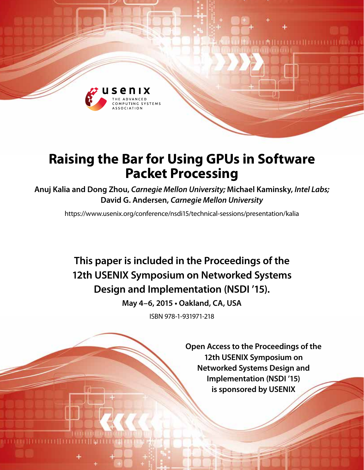

# **Raising the Bar for Using GPUs in Software Packet Processing**

**Anuj Kalia and Dong Zhou,** *Carnegie Mellon University;* **Michael Kaminsky,** *Intel Labs;* **David G. Andersen,** *Carnegie Mellon University*

https://www.usenix.org/conference/nsdi15/technical-sessions/presentation/kalia

**This paper is included in the Proceedings of the 12th USENIX Symposium on Networked Systems Design and Implementation (NSDI '15).**

**May 4–6, 2015 • Oakland, CA, USA**

ISBN 978-1-931971-218

**Open Access to the Proceedings of the 12th USENIX Symposium on Networked Systems Design and Implementation (NSDI '15) is sponsored by USENIX**

**DA HELLETI ILE LETT**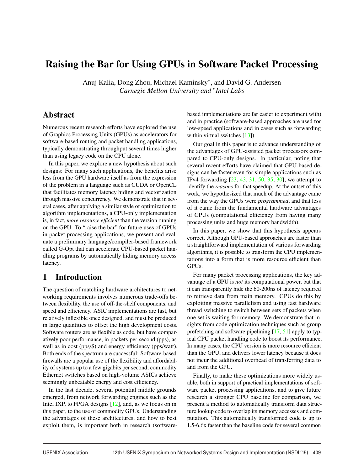# Raising the Bar for Using GPUs in Software Packet Processing

Anuj Kalia, Dong Zhou, Michael Kaminsky∗, and David G. Andersen *Carnegie Mellon University and* ∗*Intel Labs*

# Abstract

Numerous recent research efforts have explored the use of Graphics Processing Units (GPUs) as accelerators for software-based routing and packet handling applications, typically demonstrating throughput several times higher than using legacy code on the CPU alone.

In this paper, we explore a new hypothesis about such designs: For many such applications, the benefits arise less from the GPU hardware itself as from the expression of the problem in a language such as CUDA or OpenCL that facilitates memory latency hiding and vectorization through massive concurrency. We demonstrate that in several cases, after applying a similar style of optimization to algorithm implementations, a CPU-only implementation is, in fact, *more resource efficient* than the version running on the GPU. To "raise the bar" for future uses of GPUs in packet processing applications, we present and evaluate a preliminary language/compiler-based framework called G-Opt that can accelerate CPU-based packet handling programs by automatically hiding memory access latency.

# 1 Introduction

The question of matching hardware architectures to networking requirements involves numerous trade-offs between flexibility, the use of off-the-shelf components, and speed and efficiency. ASIC implementations are fast, but relatively inflexible once designed, and must be produced in large quantities to offset the high development costs. Software routers are as flexible as code, but have comparatively poor performance, in packets-per-second (pps), as well as in cost (pps/\$) and energy efficiency (pps/watt). Both ends of the spectrum are successful: Software-based firewalls are a popular use of the flexibility and affordability of systems up to a few gigabits per second; commodity Ethernet switches based on high-volume ASICs achieve seemingly unbeatable energy and cost efficiency.

In the last decade, several potential middle grounds emerged, from network forwarding engines such as the Intel IXP, to FPGA designs [12], and, as we focus on in this paper, to the use of commodity GPUs. Understanding the advantages of these architectures, and how to best exploit them, is important both in research (softwarebased implementations are far easier to experiment with) and in practice (software-based approaches are used for low-speed applications and in cases such as forwarding within virtual switches [13]).

Our goal in this paper is to advance understanding of the advantages of GPU-assisted packet processors compared to CPU-only designs. In particular, noting that several recent efforts have claimed that GPU-based designs can be faster even for simple applications such as IPv4 forwarding [23, 43, 31, 50, 35, 30], we attempt to identify the *reasons* for that speedup. At the outset of this work, we hypothesized that much of the advantage came from the way the GPUs were *programmed*, and that less of it came from the fundamental hardware advantages of GPUs (computational efficiency from having many processing units and huge memory bandwidth).

In this paper, we show that this hypothesis appears correct. Although GPU-based approaches are faster than a straightforward implementation of various forwarding algorithms, it is possible to transform the CPU implementations into a form that is more resource efficient than GPUs.

For many packet processing applications, the key advantage of a GPU is *not* its computational power, but that it can transparently hide the 60-200ns of latency required to retrieve data from main memory. GPUs do this by exploiting massive parallelism and using fast hardware thread switching to switch between sets of packets when one set is waiting for memory. We demonstrate that insights from code optimization techniques such as group prefetching and software pipelining [17, 51] apply to typical CPU packet handling code to boost its performance. In many cases, the CPU version is more resource efficient than the GPU, and delivers lower latency because it does not incur the additional overhead of transferring data to and from the GPU.

Finally, to make these optimizations more widely usable, both in support of practical implementations of software packet processing applications, and to give future research a stronger CPU baseline for comparison, we present a method to automatically transform data structure lookup code to overlap its memory accesses and computation. This automatically transformed code is up to 1.5-6.6x faster than the baseline code for several common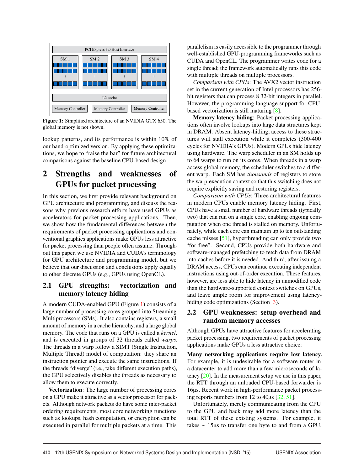

Figure 1: Simplified architecture of an NVIDIA GTX 650. The global memory is not shown.

lookup patterns, and its performance is within 10% of our hand-optimized version. By applying these optimizations, we hope to "raise the bar" for future architectural comparisons against the baseline CPU-based design.

# 2 Strengths and weaknesses of GPUs for packet processing

In this section, we first provide relevant background on GPU architecture and programming, and discuss the reasons why previous research efforts have used GPUs as accelerators for packet processing applications. Then, we show how the fundamental differences between the requirements of packet processing applications and conventional graphics applications make GPUs less attractive for packet processing than people often assume. Throughout this paper, we use NVIDIA and CUDA's terminology for GPU architecture and programming model, but we believe that our discussion and conclusions apply equally to other discrete GPUs (e.g., GPUs using OpenCL).

## 2.1 GPU strengths: vectorization and memory latency hiding

A modern CUDA-enabled GPU (Figure 1) consists of a large number of processing cores grouped into Streaming Multiprocessors (SMs). It also contains registers, a small amount of memory in a cache hierarchy, and a large global memory. The code that runs on a GPU is called a *kernel*, and is executed in groups of 32 threads called *warps*. The threads in a warp follow a SIMT (Single Instruction, Multiple Thread) model of computation: they share an instruction pointer and execute the same instructions. If the threads "diverge" (i.e., take different execution paths), the GPU selectively disables the threads as necessary to allow them to execute correctly.

Vectorization: The large number of processing cores on a GPU make it attractive as a vector processor for packets. Although network packets do have some inter-packet ordering requirements, most core networking functions such as lookups, hash computation, or encryption can be executed in parallel for multiple packets at a time. This

parallelism is easily accessible to the programmer through well-established GPU-programming frameworks such as CUDA and OpenCL. The programmer writes code for a single thread; the framework automatically runs this code with multiple threads on multiple processors.

*Comparison with CPUs*: The AVX2 vector instruction set in the current generation of Intel processors has 256 bit registers that can process 8 32-bit integers in parallel. However, the programming language support for CPUbased vectorization is still maturing [8].

Memory latency hiding: Packet processing applications often involve lookups into large data structures kept in DRAM. Absent latency-hiding, access to these structures will stall execution while it completes (300-400 cycles for NVIDIA's GPUs). Modern GPUs hide latency using hardware. The warp scheduler in an SM holds up to 64 warps to run on its cores. When threads in a warp access global memory, the scheduler switches to a different warp. Each SM has *thousands* of registers to store the warp-execution context so that this switching does not require explicitly saving and restoring registers.

*Comparison with CPUs*: Three architectural features in modern CPUs enable memory latency hiding. First, CPUs have a small number of hardware threads (typically two) that can run on a single core, enabling ongoing computation when one thread is stalled on memory. Unfortunately, while each core can maintain up to ten outstanding cache misses [51], hyperthreading can only provide two "for free". Second, CPUs provide both hardware and software-managed prefetching to fetch data from DRAM into caches before it is needed. And third, after issuing a DRAM access, CPUs can continue executing independent instructions using out-of-order execution. These features, however, are less able to hide latency in unmodified code than the hardware-supported context switches on GPUs, and leave ample room for improvement using latencyhiding code optimizations (Section 3).

### 2.2 GPU weaknesses: setup overhead and random memory accesses

Although GPUs have attractive features for accelerating packet processing, two requirements of packet processing applications make GPUs a less attractive choice:

Many networking applications require low latency. For example, it is undesirable for a software router in a datacenter to add more than a few microseconds of latency [20]. In the measurement setup we use in this paper, the RTT through an unloaded CPU-based forwarder is 16µs. Recent work in high-performance packet processing reports numbers from 12 to 40µs [32, 51].

Unfortunately, merely communicating from the CPU to the GPU and back may add more latency than the total RTT of these existing systems. For example, it takes ∼ 15µs to transfer one byte to and from a GPU,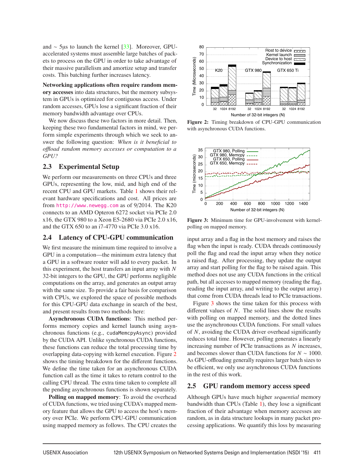and ∼ 5µs to launch the kernel [33]. Moreover, GPUaccelerated systems must assemble large batches of packets to process on the GPU in order to take advantage of their massive parallelism and amortize setup and transfer costs. This batching further increases latency.

Networking applications often require random memory accesses into data structures, but the memory subsystem in GPUs is optimized for contiguous access. Under random accesses, GPUs lose a significant fraction of their memory bandwidth advantage over CPUs.

We now discuss these two factors in more detail. Then, keeping these two fundamental factors in mind, we perform simple experiments through which we seek to answer the following question: *When is it beneficial to o*ffl*oad random memory accesses or computation to a GPU?*

### 2.3 Experimental Setup

We perform our measurements on three CPUs and three GPUs, representing the low, mid, and high end of the recent CPU and GPU markets. Table 1 shows their relevant hardware specifications and cost. All prices are from http://www.newegg.com as of 9/2014. The K20 connects to an AMD Opteron 6272 socket via PCIe 2.0 x16, the GTX 980 to a Xeon E5-2680 via PCIe 2.0 x16, and the GTX 650 to an i7-4770 via PCIe 3.0 x16.

### 2.4 Latency of CPU-GPU communication

We first measure the minimum time required to involve a GPU in a computation—the minimum extra latency that a GPU in a software router will add to every packet. In this experiment, the host transfers an input array with *N* 32-bit integers to the GPU, the GPU performs negligible computations on the array, and generates an output array with the same size. To provide a fair basis for comparison with CPUs, we explored the space of possible methods for this CPU-GPU data exchange in search of the best, and present results from two methods here:

Asynchronous CUDA functions: This method performs memory copies and kernel launch using asynchronous functions (e.g., cudaMemcpyAsync) provided by the CUDA API. Unlike synchronous CUDA functions, these functions can reduce the total processing time by overlapping data-copying with kernel execution. Figure 2 shows the timing breakdown for the different functions. We define the time taken for an asynchronous CUDA function call as the time it takes to return control to the calling CPU thread. The extra time taken to complete all the pending asynchronous functions is shown separately.

Polling on mapped memory: To avoid the overhead of CUDA functions, we tried using CUDA's mapped memory feature that allows the GPU to access the host's memory over PCIe. We perform CPU-GPU communication using mapped memory as follows. The CPU creates the



Figure 2: Timing breakdown of CPU-GPU communication with asynchronous CUDA functions.



Figure 3: Minimum time for GPU-involvement with kernelpolling on mapped memory.

input array and a flag in the host memory and raises the flag when the input is ready. CUDA threads continuously poll the flag and read the input array when they notice a raised flag. After processing, they update the output array and start polling for the flag to be raised again. This method does not use any CUDA functions in the critical path, but all accesses to mapped memory (reading the flag, reading the input array, and writing to the output array) that come from CUDA threads lead to PCIe transactions.

Figure 3 shows the time taken for this process with different values of *N*. The solid lines show the results with polling on mapped memory, and the dotted lines use the asynchronous CUDA functions. For small values of *N*, avoiding the CUDA driver overhead significantly reduces total time. However, polling generates a linearly increasing number of PCIe transactions as *N* increases, and becomes slower than CUDA functions for *N* ∼ 1000. As GPU-offloading generally requires larger batch sizes to be efficient, we only use asynchronous CUDA functions in the rest of this work.

### 2.5 GPU random memory access speed

Although GPUs have much higher *sequential* memory bandwidth than CPUs (Table 1), they lose a significant fraction of their advantage when memory accesses are random, as in data structure lookups in many packet processing applications. We quantify this loss by measuring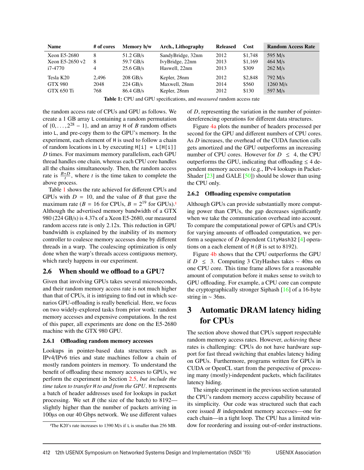| <b>Name</b>       | # of cores | Memory b/w  | Arch., Lithography | <b>Released</b> | Cost    | <b>Random Access Rate</b> |
|-------------------|------------|-------------|--------------------|-----------------|---------|---------------------------|
| Xeon E5-2680      | 8          | $51.2$ GB/s | SandyBridge, 32nm  | 2012            | \$1,748 | 595 M/s                   |
| Xeon E5-2650 $v2$ | 8          | 59.7 GB/s   | IvyBridge, 22nm    | 2013            | \$1,169 | $464$ M/s                 |
| i7-4770           | 4          | $25.6$ GB/s | Haswell, 22nm      | 2013            | \$309   | $262$ M/s                 |
| Tesla K20         | 2.496      | $208$ GB/s  | Kepler, 28nm       | 2012            | \$2,848 | $792$ M/s                 |
| <b>GTX 980</b>    | 2048       | $224$ GB/s  | Maxwell, 28nm      | 2014            | \$560   | $1260$ M/s                |
| GTX 650 Ti        | 768        | $86.4$ GB/s | Kepler, 28nm       | 2012            | \$130   | 597 M/s                   |

Table 1: CPU and GPU specifications, and *measured* random access rate

the random access rate of CPUs and GPU as follows. We create a 1 GB array L containing a random permutation of  $\{0,\ldots,2^{28}-1\}$ , and an array H of *B* random offsets into L, and pre-copy them to the GPU's memory. In the experiment, each element of H is used to follow a chain of random locations in L by executing  $H[i] = L[H[i]]$ *D* times. For maximum memory parallelism, each GPU thread handles one chain, whereas each CPU core handles all the chains simultaneously. Then, the random access rate is  $\frac{B*D}{t}$ , where *t* is the time taken to complete the above process.

Table 1 shows the rate achieved for different CPUs and GPUs with  $D = 10$ , and the value of *B* that gave the maximum rate ( $B = 16$  for CPUs,  $B = 2^{19}$  for GPUs).<sup>1</sup> Although the advertised memory bandwidth of a GTX 980 (224 GB/s) is 4.37x of a Xeon E5-2680, our measured random access rate is only 2.12x. This reduction in GPU bandwidth is explained by the inability of its memory controller to coalesce memory accesses done by different threads in a warp. The coalescing optimization is only done when the warp's threads access contiguous memory, which rarely happens in our experiment.

### 2.6 When should we offload to a GPU?

Given that involving GPUs takes several microseconds, and their random memory access rate is not much higher than that of CPUs, it is intriguing to find out in which scenarios GPU-offloading is really beneficial. Here, we focus on two widely-explored tasks from prior work: random memory accesses and expensive computations. In the rest of this paper, all experiments are done on the E5-2680 machine with the GTX 980 GPU.

#### 2.6.1 Offloading random memory accesses

Lookups in pointer-based data structures such as IPv4/IPv6 tries and state machines follow a chain of mostly random pointers in memory. To understand the benefit of offloading these memory accesses to GPUs, we perform the experiment in Section 2.5, *but include the time taken to transfer* H *to and from the GPU*. H represents a batch of header addresses used for lookups in packet processing. We set *B* (the size of the batch) to 8192 slightly higher than the number of packets arriving in 100µs on our 40 Gbps network. We use different values of *D*, representing the variation in the number of pointerdereferencing operations for different data structures.

Figure 4a plots the number of headers processed per second for the GPU and different numbers of CPU cores. As *D* increases, the overhead of the CUDA function calls gets amortized and the GPU outperforms an increasing number of CPU cores. However for  $D \leq 4$ , the CPU outperforms the GPU, indicating that offloading  $\leq 4$  dependent memory accesses (e.g., IPv4 lookups in Packet-Shader  $[23]$  and GALE  $[50]$ ) should be slower than using the CPU only.

#### 2.6.2 Offloading expensive computation

Although GPUs can provide substantially more computing power than CPUs, the gap decreases significantly when we take the communication overhead into account. To compare the computational power of GPUs and CPUs for varying amounts of offloaded computation, we perform a sequence of *D* dependent CityHash32 [4] operations on a each element of H (*B* is set to 8192).

Figure 4b shows that the CPU outperforms the GPU if *D* ≤ 3. Computing 3 CityHashes takes ∼ 40ns on one CPU core. This time frame allows for a reasonable amount of computation before it makes sense to switch to GPU offloading. For example, a CPU core can compute the cryptographically stronger Siphash [16] of a 16-byte string in ∼ 36ns.

# 3 Automatic DRAM latency hiding for CPUs

The section above showed that CPUs support respectable random memory access rates. However, *achieving* these rates is challenging: CPUs do not have hardware support for fast thread switching that enables latency hiding on GPUs. Furthermore, programs written for GPUs in CUDA or OpenCL start from the perspective of processing many (mostly)-independent packets, which facilitates latency hiding.

The simple experiment in the previous section saturated the CPU's random memory access capability because of its simplicity. Our code was structured such that each core issued *B* independent memory accesses—one for each chain—in a tight loop. The CPU has a limited window for reordering and issuing out-of-order instructions.

<sup>&</sup>lt;sup>1</sup>The K20's rate increases to 1390 M/s if L is smaller than 256 MB.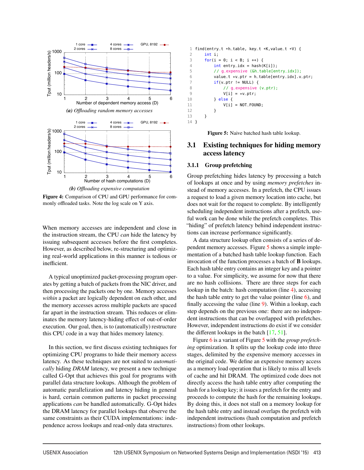

Figure 4: Comparison of CPU and GPU performance for commonly offloaded tasks. Note the log scale on Y axis.

When memory accesses are independent and close in the instruction stream, the CPU *can* hide the latency by issuing subsequent accesses before the first completes. However, as described below, re-structuring and optimizing real-world applications in this manner is tedious or inefficient.

A typical unoptimized packet-processing program operates by getting a batch of packets from the NIC driver, and then processing the packets one by one. Memory accesses *within* a packet are logically dependent on each other, and the memory accesses across multiple packets are spaced far apart in the instruction stream. This reduces or eliminates the memory latency-hiding effect of out-of-order execution. Our goal, then, is to (automatically) restructure this CPU code in a way that hides memory latency.

In this section, we first discuss existing techniques for optimizing CPU programs to hide their memory access latency. As these techniques are not suited to *automatically* hiding *DRAM* latency, we present a new technique called G-Opt that achieves this goal for programs with parallel data structure lookups. Although the problem of automatic parallelization and latency hiding in general is hard, certain common patterns in packet processing applications *can* be handled automatically. G-Opt hides the DRAM latency for parallel lookups that observe the same constraints as their CUDA implementations: independence across lookups and read-only data structures.

```
1 find(entry_t *h_table, key_t *K,value_t *V) {
2 int i;<br>3 for(i
      for(i = 0; i < B; i++)4 int entry\_idx = hash(K[i]);5 // g_expensive (&h_table[entry_idx]);
6 value_t *v_ptr = h_table[entry_idx].v_ptr;7 if(v\_ptr != NULL) {
8 // g_expensive (v_ptr);
9 V[i] = *v_{-p}tr;<br>10 \} else f\} else {
11 V[i] = NOT_FOUND;12 }
13 }
14 }
```
Figure 5: Naive batched hash table lookup.

# 3.1 Existing techniques for hiding memory access latency

#### 3.1.1 Group prefetching

Group prefetching hides latency by processing a batch of lookups at once and by using *memory prefetches* instead of memory accesses. In a prefetch, the CPU issues a request to load a given memory location into cache, but does not wait for the request to complete. By intelligently scheduling independent instructions after a prefetch, useful work can be done while the prefetch completes. This "hiding" of prefetch latency behind independent instructions can increase performance significantly.

A data structure lookup often consists of a series of dependent memory accesses. Figure 5 shows a simple implementation of a batched hash table lookup function. Each invocation of the function processes a batch of B lookups. Each hash table entry contains an integer key and a pointer to a value. For simplicity, we assume for now that there are no hash collisions. There are three steps for each lookup in the batch: hash computation (line 4), accessing the hash table entry to get the value pointer (line  $6$ ), and finally accessing the value (line 9). Within a lookup, each step depends on the previous one: there are no independent instructions that can be overlapped with prefetches. However, independent instructions do exist if we consider the different lookups in the batch [17, 51].

Figure 6 is a variant of Figure 5 with the *group prefetching* optimization. It splits up the lookup code into three stages, delimited by the expensive memory accesses in the original code. We define an expensive memory access as a memory load operation that is likely to miss all levels of cache and hit DRAM. The optimized code does not directly access the hash table entry after computing the hash for a lookup key; it issues a prefetch for the entry and proceeds to compute the hash for the remaining lookups. By doing this, it does not stall on a memory lookup for the hash table entry and instead overlaps the prefetch with independent instructions (hash computation and prefetch instructions) from other lookups.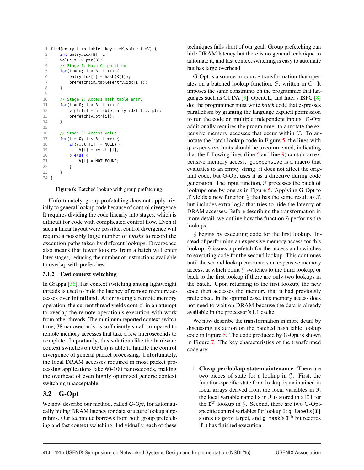```
1 find(entry_t *h_table, key_t *K, value_t *V) {<br>2 int entry idx[R] i.
      int entry_idx[B], i;
3 value_t *v_ptr[B];
4 // Stage 1: Hash-Computation
5 for(i = 0: i < B: i +1) {
6 entry_idx[i] = hash(K[i]);
7 prefetch(&h_table[entry_idx[i]]);
8 }
\alpha10 // Stage 2: Access hash table entry
11 for(i = 0; i < B; i++) {
12 v_ptr[i] = h_table[entry_idx[i]].v_ptr;
13 prefetch(v_ptr[i]);
14 }
15
16 // Stage 3: Access value
17 for(i = 0; i < B; i++) {
18 if(v_ptr[i] != NULL) {
19 V[i] = *v_{p}tr[i];20 } else {
21 V[i] = NOT_FOUND;
22 }
23 }
24 }
```
Figure 6: Batched lookup with group prefetching.

Unfortunately, group prefetching does not apply trivially to general lookup code because of control divergence. It requires dividing the code linearly into stages, which is difficult for code with complicated control flow. Even if such a linear layout were possible, control divergence will require a possibly large number of *masks* to record the execution paths taken by different lookups. Divergence also means that fewer lookups from a batch will enter later stages, reducing the number of instructions available to overlap with prefetches.

#### 3.1.2 Fast context switching

In Grappa [36], fast context switching among lightweight threads is used to hide the latency of remote memory accesses over InfiniBand. After issuing a remote memory operation, the current thread yields control in an attempt to overlap the remote operation's execution with work from other threads. The minimum reported context switch time, 38 nanoseconds, is sufficiently small compared to remote memory accesses that take a few microseconds to complete. Importantly, this solution (like the hardware context switches on GPUs) is able to handle the control divergence of general packet processing. Unfortunately, the local DRAM accesses required in most packet processing applications take 60-100 nanoseconds, making the overhead of even highly optimized generic context switching unacceptable.

# 3.2 G-Opt

We now describe our method, called *G-Opt*, for automatically hiding DRAM latency for data structure lookup algorithms. Our technique borrows from both group prefetching and fast context switching. Individually, each of these

techniques falls short of our goal: Group prefetching can hide DRAM latency but there is no general technique to automate it, and fast context switching is easy to automate but has large overhead.

G-Opt is a source-to-source transformation that operates on a batched lookup function, F, written in C. It imposes the same constraints on the programmer that languages such as CUDA [3], OpenCL, and Intel's ISPC [8] do: the programmer must write *batch* code that expresses parallelism by granting the language explicit permission to run the code on multiple independent inputs. G-Opt additionally requires the programmer to annotate the expensive memory accesses that occur within F. To annotate the batch lookup code in Figure 5, the lines with g\_expensive hints should be uncommented, indicating that the following lines (line  $6$  and line  $9$ ) contain an expensive memory access. g\_expensive is a macro that evaluates to an empty string: it does not affect the original code, but G-Opt uses it as a directive during code generation. The input function,  $\mathcal F$  processes the batch of lookups one-by-one as in Figure 5. Applying G-Opt to  $\mathcal F$  yields a new function  $\mathcal G$  that has the same result as  $\mathcal F$ , but includes extra logic that tries to hide the latency of DRAM accesses. Before describing the transformation in more detail, we outline how the function  $\mathcal G$  performs the lookups.

G begins by executing code for the first lookup. Instead of performing an expensive memory access for this lookup, G issues a prefetch for the access and switches to executing code for the second lookup. This continues until the second lookup encounters an expensive memory access, at which point G switches to the third lookup, or back to the first lookup if there are only two lookups in the batch. Upon returning to the first lookup, the new code then accesses the memory that it had previously prefetched. In the optimal case, this memory access does not need to wait on DRAM because the data is already available in the processor's L1 cache.

We now describe the transformation in more detail by discussing its action on the batched hash table lookup code in Figure 5. The code produced by G-Opt is shown in Figure 7. The key characteristics of the transformed code are:

1. Cheap per-lookup state-maintenance: There are two pieces of state for a lookup in G. First, the function-specific state for a lookup is maintained in local arrays derived from the local variables in F: the local variable named  $x$  in  $\mathcal F$  is stored in  $x[I]$  for the  $I<sup>th</sup>$  lookup in G. Second, there are two G-Optspecific control variables for lookup I: g\_labels[I] stores its goto target, and  $q$ <sub>mask</sub>'s  $I<sup>th</sup>$  bit records if it has finished execution.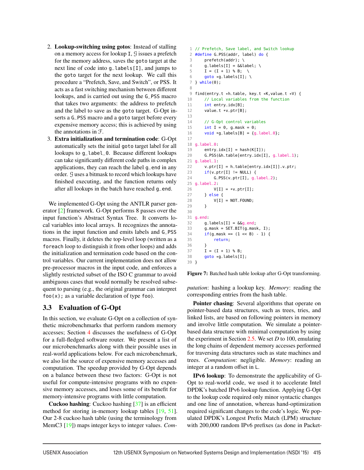- 2. Lookup-switching using gotos: Instead of stalling on a memory access for lookup I, G issues a prefetch for the memory address, saves the goto target at the next line of code into g\_labels[I], and jumps to the goto target for the next lookup. We call this procedure a "Prefetch, Save, and Switch", or PSS. It acts as a fast switching mechanism between different lookups, and is carried out using the G\_PSS macro that takes two arguments: the address to prefetch and the label to save as the goto target. G-Opt inserts a G\_PSS macro and a goto target before every expensive memory access; this is achieved by using the annotations in F.
- 3. Extra initialization and termination code: G-Opt automatically sets the initial goto target label for all lookups to g\_label\_0. Because different lookups can take significantly different code paths in complex applications, they can reach the label g\_end in any order. G uses a bitmask to record which lookups have finished executing, and the function returns only after all lookups in the batch have reached g\_end.

We implemented G-Opt using the ANTLR parser generator [2] framework. G-Opt performs 8 passes over the input function's Abstract Syntax Tree. It converts local variables into local arrays. It recognizes the annotations in the input function and emits labels and G\_PSS macros. Finally, it deletes the top-level loop (written as a foreach loop to distinguish it from other loops) and adds the initialization and termination code based on the control variables. Our current implementation does not allow pre-processor macros in the input code, and enforces a slightly restricted subset of the ISO C grammar to avoid ambiguous cases that would normally be resolved subsequent to parsing (e.g., the original grammar can interpret  $foo(x)$ ; as a variable declaration of type foo).

# 3.3 Evaluation of G-Opt

In this section, we evaluate G-Opt on a collection of synthetic microbenchmarks that perform random memory accesses; Section 4 discusses the usefulness of G-Opt for a full-fledged software router. We present a list of our microbenchmarks along with their possible uses in real-world applications below. For each microbenchmark, we also list the source of expensive memory accesses and computation. The speedup provided by G-Opt depends on a balance between these two factors: G-Opt is not useful for compute-intensive programs with no expensive memory accesses, and loses some of its benefit for memory-intensive programs with little computation.

Cuckoo hashing: Cuckoo hashing [37] is an efficient method for storing in-memory lookup tables [19, 51]. Our 2-8 cuckoo hash table (using the terminology from MemC3 [19]) maps integer keys to integer values. *Com-*

```
1 // Prefetch, Save label, and Switch lookup
2 #define G_PSS(addr, label) do {
3 prefetch(addr); \
 4 g_{\text{alabels}}[I] = \&\&\text{label; } \&5 I = (I + 1) % B; \
 6 goto *q_labels[I]; \
7 } while(0);
8
9 find(entry_t *h_table, key_t *K,value_t *V) {
10 // Local variables from the function
11 int entry_idx[B];
12 value_t *v_ptr[B];
13
14 // G-Opt control variables
15 int I = 0, g_{\text{max}} = 0;
16 void *g_labels[B] = {g_label_0};
17
18 g_label_0:
19 entry_idx[I] = hash(K[I]);
20 G_PSS(&h_table[entry_idx[I], g_label_1);
21 g_label_1:
22 v_ptr[I] = h_table[entry_idx[I]].v_ptr;
23 if(v_ptr[I] != NULL) {
24 G_PSS(v_ptr[I], g_llabel_2);25 g_label_2:
26 V[I] = *v_{p}tr[I];<br>27 } else {
      27 } else {
28 V[I] = NOT_FOUND;
29 }
30
31 g_end:
32 \qquad g_{\text{-}}labels[I] = \&g_{\text{-}}end;
33 g_mask = SET_BIT(g_mask, I);
34 if(g\_mask == (1 \ll B) - 1) {
35 return;
36 }
37 I = (I + 1) % B;
38 goto *g_labels[I];
39 }
```
Figure 7: Batched hash table lookup after G-Opt transforming.

*putation*: hashing a lookup key. *Memory*: reading the corresponding entries from the hash table.

Pointer chasing: Several algorithms that operate on pointer-based data structures, such as trees, tries, and linked lists, are based on following pointers in memory and involve little computation. We simulate a pointerbased data structure with minimal computation by using the experiment in Section 2.5. We set *D* to 100, emulating the long chains of dependent memory accesses performed for traversing data structures such as state machines and trees. *Computation*: negligible. *Memory*: reading an integer at a random offset in L.

IPv6 lookup: To demonstrate the applicability of G-Opt to real-world code, we used it to accelerate Intel DPDK's batched IPv6 lookup function. Applying G-Opt to the lookup code required only minor syntactic changes and one line of annotation, whereas hand-optimization required significant changes to the code's logic. We populated DPDK's Longest Prefix Match (LPM) structure with 200,000 random IPv6 prefixes (as done in Packet-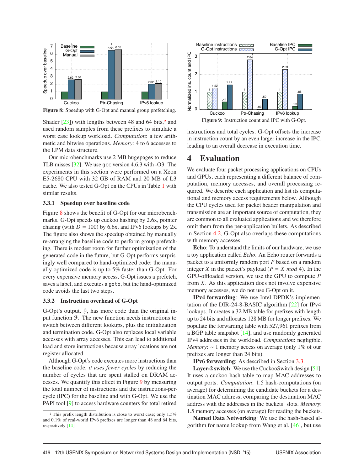

Figure 8: Speedup with G-Opt and manual group prefetching.

Shader  $[23]$ ) with lengths between 48 and 64 bits,<sup>2</sup> and used random samples from these prefixes to simulate a worst case lookup workload. *Computation*: a few arithmetic and bitwise operations. *Memory*: 4 to 6 accesses to the LPM data structure.

Our microbenchmarks use 2 MB hugepages to reduce TLB misses [32]. We use gcc version 4.6.3 with -O3. The experiments in this section were performed on a Xeon E5-2680 CPU with 32 GB of RAM and 20 MB of L3 cache. We also tested G-Opt on the CPUs in Table 1 with similar results.

#### 3.3.1 Speedup over baseline code

Figure 8 shows the benefit of G-Opt for our microbenchmarks. G-Opt speeds up cuckoo hashing by 2.6x, pointer chasing (with  $D = 100$ ) by 6.6x, and IPv6 lookups by 2x. The figure also shows the speedup obtained by manually re-arranging the baseline code to perform group prefetching. There is modest room for further optimization of the generated code in the future, but G-Opt performs surprisingly well compared to hand-optimized code: the manually optimized code is up to 5% faster than G-Opt. For every expensive memory access, G-Opt issues a prefetch, saves a label, and executes a goto, but the hand-optimized code avoids the last two steps.

#### 3.3.2 Instruction overhead of G-Opt

G-Opt's output, G, has more code than the original input function F. The new function needs instructions to switch between different lookups, plus the initialization and termination code. G-Opt also replaces local variable accesses with array accesses. This can lead to additional load and store instructions because array locations are not register allocated.

Although G-Opt's code executes more instructions than the baseline code, *it uses fewer cycles* by reducing the number of cycles that are spent stalled on DRAM accesses. We quantify this effect in Figure 9 by measuring the total number of instructions and the instructions-percycle (IPC) for the baseline and with G-Opt. We use the PAPI tool [9] to access hardware counters for total retired



instructions and total cycles. G-Opt offsets the increase in instruction count by an even larger increase in the IPC, leading to an overall decrease in execution time.

### 4 Evaluation

We evaluate four packet processing applications on CPUs and GPUs, each representing a different balance of computation, memory accesses, and overall processing required. We describe each application and list its computational and memory access requirements below. Although the CPU cycles used for packet header manipulation and transmission are an important source of computation, they are common to all evaluated applications and we therefore omit them from the per-application bullets. As described in Section 4.2, G-Opt also overlaps these computations with memory accesses.

Echo: To understand the limits of our hardware, we use a toy application called *Echo*. An Echo router forwards a packet to a uniformly random port *P* based on a random integer *X* in the packet's payload ( $P = X \mod 4$ ). In the GPU-offloaded version, we use the GPU to compute *P* from *X*. As this application does not involve expensive memory accesses, we do not use G-Opt on it.

IPv4 forwarding: We use Intel DPDK's implementation of the DIR-24-8-BASIC algorithm [22] for IPv4 lookups. It creates a 32 MB table for prefixes with length up to 24 bits and allocates 128 MB for longer prefixes. We populate the forwarding table with 527,961 prefixes from a BGP table snapshot [14], and use randomly generated IPv4 addresses in the workload. *Computation*: negligible. *Memory*: ∼ 1 memory access on average (only 1% of our prefixes are longer than 24 bits).

IPv6 forwarding: As described in Section 3.3.

Layer-2 switch: We use the CuckooSwitch design [51]. It uses a cuckoo hash table to map MAC addresses to output ports. *Computation*: 1.5 hash-computations (on average) for determining the candidate buckets for a destination MAC address; comparing the destination MAC address with the addresses in the buckets' slots. *Memory*: 1.5 memory accesses (on average) for reading the buckets.

Named Data Networking: We use the hash-based algorithm for name lookup from Wang et al. [46], but use

<sup>2</sup> This prefix length distribution is close to worst case; only 1.5% and 0.1% of real-world IPv6 prefixes are longer than 48 and 64 bits, respectively [14].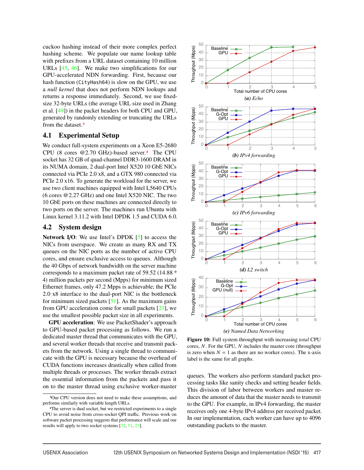cuckoo hashing instead of their more complex perfect hashing scheme. We populate our name lookup table with prefixes from a URL dataset containing 10 million URLs [45, 46]. We make two simplifications for our GPU-accelerated NDN forwarding. First, because our hash function (CityHash64) is slow on the GPU, we use a *null kernel* that does not perform NDN lookups and returns a response immediately. Second, we use fixedsize 32-byte URLs (the average URL size used in Zhang et al. [49]) in the packet headers for both CPU and GPU, generated by randomly extending or truncating the URLs from the dataset.3

### 4.1 Experimental Setup

We conduct full-system experiments on a Xeon E5-2680 CPU (8 cores @2.70 GHz)-based server.4 The CPU socket has 32 GB of quad-channel DDR3-1600 DRAM in its NUMA domain, 2 dual-port Intel X520 10 GbE NICs connected via PCIe 2.0 x8, and a GTX 980 connected via PCIe 2.0 x16. To generate the workload for the server, we use two client machines equipped with Intel L5640 CPUs (6 cores @2.27 GHz) and one Intel X520 NIC. The two 10 GbE ports on these machines are connected directly to two ports on the server. The machines run Ubuntu with Linux kernel 3.11.2 with Intel DPDK 1.5 and CUDA 6.0.

#### 4.2 System design

Network I/O: We use Intel's DPDK  $[5]$  to access the NICs from userspace. We create as many RX and TX queues on the NIC ports as the number of active CPU cores, and ensure exclusive access to queues. Although the 40 Gbps of network bandwidth on the server machine corresponds to a maximum packet rate of 59.52 (14.88 \* 4) million packets per second (Mpps) for minimum sized Ethernet frames, only 47.2 Mpps is achievable; the PCIe 2.0 x8 interface to the dual-port NIC is the bottleneck for minimum sized packets  $[51]$ . As the maximum gains from GPU acceleration come for small packets [23], we use the smallest possible packet size in all experiments.

GPU acceleration: We use PacketShader's approach to GPU-based packet processing as follows. We run a dedicated master thread that communicates with the GPU, and several worker threads that receive and transmit packets from the network. Using a single thread to communicate with the GPU is necessary because the overhead of CUDA functions increases drastically when called from multiple threads or processes. The worker threads extract the essential information from the packets and pass it on to the master thread using exclusive worker-master



Figure 10: Full system throughput with increasing *total* CPU cores, *N*. For the GPU, *N* includes the master core (throughput is zero when  $N = 1$  as there are no worker cores). The x-axis label is the same for all graphs.

queues. The workers also perform standard packet processing tasks like sanity checks and setting header fields. This division of labor between workers and master reduces the amount of data that the master needs to transmit to the GPU. For example, in IPv4 forwarding, the master receives only one 4-byte IPv4 address per received packet. In our implementation, each worker can have up to 4096 outstanding packets to the master.

<sup>3</sup>Our CPU version does not need to make these assumptions, and performs similarly with variable length URLs.

<sup>4</sup>The server is dual socket, but we restricted experiments to a single CPU to avoid noise from cross-socket QPI traffic. Previous work on software packet processing suggests that performance will scale and our results will apply to two socket systems [32, 51, 23].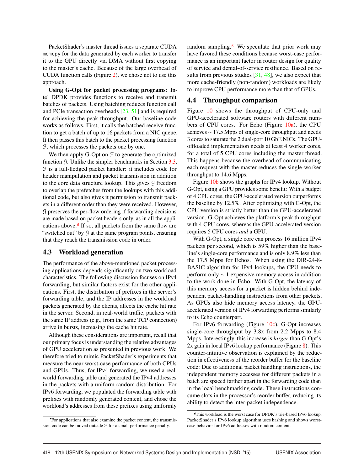PacketShader's master thread issues a separate CUDA memcpy for the data generated by each worker to transfer it to the GPU directly via DMA without first copying to the master's cache. Because of the large overhead of CUDA function calls (Figure 2), we chose not to use this approach.

Using G-Opt for packet processing programs: Intel DPDK provides functions to receive and transmit batches of packets. Using batching reduces function call and PCIe transaction overheads [23, 51] and is required for achieving the peak throughput. Our baseline code works as follows. First, it calls the batched receive function to get a batch of up to 16 packets from a NIC queue. It then passes this batch to the packet processing function F, which processes the packets one by one.

We then apply G-Opt on  $\mathcal F$  to generate the optimized function G. Unlike the simpler benchmarks in Section 3.3, F is a full-fledged packet handler: it includes code for header manipulation and packet transmission in addition to the core data structure lookup. This gives G freedom to overlap the prefetches from the lookups with this additional code, but also gives it permission to transmit packets in a different order than they were received. However, G preserves the per-flow ordering if forwarding decisions are made based on packet headers only, as in all the applications above.5 If so, all packets from the same flow are "switched out" by G at the same program points, ensuring that they reach the transmission code in order.

#### 4.3 Workload generation

The performance of the above-mentioned packet processing applications depends significantly on two workload characteristics. The following discussion focuses on IPv4 forwarding, but similar factors exist for the other applications. First, the distribution of prefixes in the server's forwarding table, and the IP addresses in the workload packets generated by the clients, affects the cache hit rate in the server. Second, in real-world traffic, packets with the same IP address (e.g., from the same TCP connection) arrive in bursts, increasing the cache hit rate.

Although these considerations are important, recall that our primary focus is understanding the relative advantages of GPU acceleration as presented in previous work. We therefore tried to mimic PacketShader's experiments that measure the near worst-case performance of both CPUs and GPUs. Thus, for IPv4 forwarding, we used a realworld forwarding table and generated the IPv4 addresses in the packets with a uniform random distribution. For IPv6 forwarding, we populated the forwarding table with prefixes with randomly generated content, and chose the workload's addresses from these prefixes using uniformly random sampling.<sup>6</sup> We speculate that prior work may have favored these conditions because worst-case performance is an important factor in router design for quality of service and denial-of-service resilience. Based on results from previous studies  $[31, 48]$ , we also expect that more cache-friendly (non-random) workloads are likely to improve CPU performance more than that of GPUs.

#### 4.4 Throughput comparison

Figure 10 shows the throughput of CPU-only and GPU-accelerated software routers with different numbers of CPU cores. For Echo (Figure  $10a$ ), the CPU achieves ∼ 17.5 Mpps of single-core throughput and needs 3 cores to saturate the 2 dual-port 10 GbE NICs. The GPUoffloaded implementation needs at least 4 worker cores, for a total of 5 CPU cores including the master thread. This happens because the overhead of communicating each request with the master reduces the single-worker throughput to 14.6 Mpps.

Figure 10b shows the graphs for IPv4 lookup. Without G-Opt, using a GPU provides some benefit: With a budget of 4 CPU cores, the GPU-accelerated version outperforms the baseline by 12.5%. After optimizing with G-Opt, the CPU version is strictly better than the GPU-accelerated version. G-Opt achieves the platform's peak throughput with 4 CPU cores, whereas the GPU-accelerated version requires 5 CPU cores *and* a GPU.

With G-Opt, a single core can process 16 million IPv4 packets per second, which is 59% higher than the baseline's single-core performance and is only 8.9% less than the 17.5 Mpps for Echos. When using the DIR-24-8- BASIC algorithm for IPv4 lookups, the CPU needs to perform only ∼ 1 expensive memory access in addition to the work done in Echo. With G-Opt, the latency of this memory access for a packet is hidden behind independent packet-handling instructions from other packets. As GPUs also hide memory access latency, the GPUaccelerated version of IPv4 forwarding performs similarly to its Echo counterpart.

For IPv6 forwarding (Figure 10c), G-Opt increases single-core throughput by 3.8x from 2.2 Mpps to 8.4 Mpps. Interestingly, this increase is *larger* than G-Opt's 2x gain in local IPv6 lookup performance (Figure 8). This counter-intuitive observation is explained by the reduction in effectiveness of the reorder buffer for the baseline code: Due to additional packet handling instructions, the independent memory accesses for different packets in a batch are spaced farther apart in the forwarding code than in the local benchmarking code. These instructions consume slots in the processor's reorder buffer, reducing its ability to detect the inter-packet independence.

<sup>5</sup>For applications that also examine the packet content, the transmission code can be moved outside  $\mathcal F$  for a small performance penalty.

<sup>6</sup>This workload is the worst case for DPDK's trie-based IPv6 lookup. PacketShader's IPv6 lookup algorithm uses hashing and shows worstcase behavior for IPv6 addresses with random content.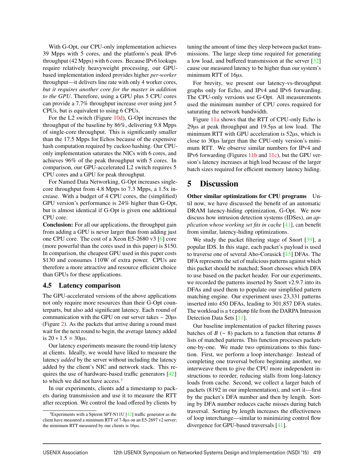With G-Opt, our CPU-only implementation achieves 39 Mpps with 5 cores, and the platform's peak IPv6 throughput (42 Mpps) with 6 cores. Because IPv6 lookups require relatively heavyweight processing, our GPUbased implementation indeed provides higher *per-worker* throughput—it delivers line rate with only 4 worker cores, *but it requires another core for the master in addition to the GPU*. Therefore, using a GPU plus 5 CPU cores can provide a 7.7% throughput increase over using just 5 CPUs, but is equivalent to using 6 CPUs.

For the L2 switch (Figure 10d), G-Opt increases the throughput of the baseline by 86%, delivering 9.8 Mpps of single-core throughput. This is significantly smaller than the 17.5 Mpps for Echos because of the expensive hash computation required by cuckoo hashing. Our CPUonly implementation saturates the NICs with 6 cores, and achieves 96% of the peak throughput with 5 cores. In comparison, our GPU-accelerated L2 switch requires 5 CPU cores and a GPU for peak throughput.

For Named Data Networking, G-Opt increases singlecore throughput from 4.8 Mpps to 7.3 Mpps, a 1.5x increase. With a budget of 4 CPU cores, the (simplified) GPU version's performance is 24% higher than G-Opt, but is almost identical if G-Opt is given one additional CPU core.

Conclusion: For all our applications, the throughput gain from adding a GPU is never larger than from adding just one CPU core. The cost of a Xeon E5-2680 v3 [6] core (more powerful than the cores used in this paper) is \$150. In comparison, the cheapest GPU used in this paper costs \$130 and consumes 110W of extra power. CPUs are therefore a more attractive and resource efficient choice than GPUs for these applications.

#### 4.5 Latency comparison

The GPU-accelerated versions of the above applications not only require more resources than their G-Opt counterparts, but also add significant latency. Each round of communication with the GPU on our server takes ∼ 20µs (Figure 2). As the packets that arrive during a round must wait for the next round to begin, the average latency added is  $20 * 1.5 = 30 \mu s$ .

Our latency experiments measure the round-trip latency at clients. Ideally, we would have liked to measure the latency *added* by the server without including the latency added by the client's NIC and network stack. This requires the use of hardware-based traffic generators [42] to which we did not have access.7

In our experiments, clients add a timestamp to packets during transmission and use it to measure the RTT after reception. We control the load offered by clients by

tuning the amount of time they sleep between packet transmissions. The large sleep time required for generating a low load, and buffered transmission at the server [32] cause our measured latency to be higher than our system's minimum RTT of 16µs.

For brevity, we present our latency-vs-throughput graphs only for Echo, and IPv4 and IPv6 forwarding. The CPU-only versions use G-Opt. All measurements used the minimum number of CPU cores required for saturating the network bandwidth.

Figure 11a shows that the RTT of CPU-only Echo is 29µs at peak throughput and 19.5µs at low load. The minimum RTT with GPU acceleration is 52µs, which is close to 30µs larger than the CPU-only version's minimum RTT. We observe similar numbers for IPv4 and IPv6 forwarding (Figures 11b and 11c), but the GPU version's latency increases at high load because of the larger batch sizes required for efficient memory latency hiding.

# 5 Discussion

Other similar optimizations for CPU programs Until now, we have discussed the benefit of an automatic DRAM latency-hiding optimization, G-Opt. We now discuss how intrusion detection systems (IDSes), *an application whose working set fits in cache* [41], can benefit from similar, latency-hiding optimizations.

We study the packet filtering stage of Snort [39], a popular IDS. In this stage, each packet's payload is used to traverse one of several Aho-Corasick [15] DFAs. The DFA represents the set of malicious patterns against which this packet should be matched; Snort chooses which DFA to use based on the packet header. For our experiments, we recorded the patterns inserted by Snort v2.9.7 into its DFAs and used them to populate our simplified pattern matching engine. Our experiment uses 23,331 patterns inserted into 450 DFAs, leading to 301,857 DFA states. The workload is a tcpdump file from the DARPA Intrusion Detection Data Sets [11].

Our baseline implementation of packet filtering passes batches of *B* ( $\sim$  8) packets to a function that returns *B* lists of matched patterns. This function processes packets one-by-one. We made two optimizations to this function. First, we perform a loop interchange: Instead of completing one traversal before beginning another, we interweave them to give the CPU more independent instructions to reorder, reducing stalls from long-latency loads from cache. Second, we collect a larger batch of packets (8192 in our implementation), and sort it—first by the packet's DFA number and then by length. Sorting by DFA number reduces cache misses during batch traversal. Sorting by length increases the effectiveness of loop interchange—similar to minimizing control flow divergence for GPU-based traversals [41].

<sup>7</sup>Experiments with a Spirent SPT-N11U [42] traffic generator as the client have measured a minimum RTT of 7-8µs on an E5-2697 v2 server; the minimum RTT measured by our clients is 16µs.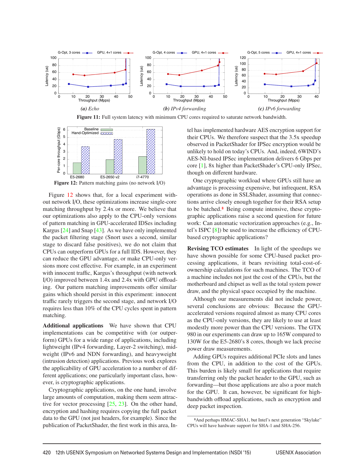



E5-2680 E5-2650 v2 i7-4770

Figure 12: Pattern matching gains (no network I/O)

Figure 12 shows that, for a local experiment without network I/O, these optimizations increase single-core matching throughput by 2.4x or more. We believe that our optimizations also apply to the CPU-only versions of pattern matching in GPU-accelerated IDSes including Kargus [24] and Snap [43]. As we have only implemented the packet filtering stage (Snort uses a second, similar stage to discard false positives), we do not claim that CPUs can outperform GPUs for a full IDS. However, they can reduce the GPU advantage, or make CPU-only versions more cost effective. For example, in an experiment with innocent traffic, Kargus's throughput (with network I/O) improved between 1.4x and 2.4x with GPU offloading. Our pattern matching improvements offer similar gains which should persist in this experiment: innocent traffic rarely triggers the second stage, and network I/O requires less than 10% of the CPU cycles spent in pattern matching.

Additional applications We have shown that CPU implementations can be competitive with (or outperform) GPUs for a wide range of applications, including lightweight (IPv4 forwarding, Layer-2 switching), midweight (IPv6 and NDN forwarding), and heavyweight (intrusion detection) applications. Previous work explores the applicability of GPU acceleration to a number of different applications; one particularly important class, however, is cryptographic applications.

Cryptographic applications, on the one hand, involve large amounts of computation, making them seem attractive for vector processing  $[25, 23]$ . On the other hand, encryption and hashing requires copying the full packet data to the GPU (not just headers, for example). Since the publication of PacketShader, the first work in this area, Intel has implemented hardware AES encryption support for their CPUs. We therefore suspect that the 3.5x speedup observed in PacketShader for IPSec encryption would be unlikely to hold on today's CPUs. And, indeed, 6WIND's AES-NI-based IPSec implementation delivers 6 Gbps per core [1], 8x higher than PacketShader's CPU-only IPSec, though on different hardware.

One cryptographic workload where GPUs still have an advantage is processing expensive, but infrequent, RSA operations as done in SSLShader, assuming that connections arrive closely enough together for their RSA setup to be batched.<sup>8</sup> Being compute intensive, these cryptographic applications raise a second question for future work: Can automatic vectorization approaches (e.g., Intel's ISPC [8]) be used to increase the efficiency of CPUbased cryptographic applications?

Revising TCO estimates In light of the speedups we have shown possible for some CPU-based packet processing applications, it bears revisiting total-cost-ofownership calculations for such machines. The TCO of a machine includes not just the cost of the CPUs, but the motherboard and chipset as well as the total system power draw, and the physical space occupied by the machine.

Although our measurements did not include power, several conclusions are obvious: Because the GPUaccelerated versions required almost as many CPU cores as the CPU-only versions, they are likely to use at least modestly more power than the CPU versions. The GTX 980 in our experiments can draw up to 165W compared to 130W for the E5-2680's 8 cores, though we lack precise power draw measurements.

Adding GPUs requires additional PCIe slots and lanes from the CPU, in addition to the cost of the GPUs. This burden is likely small for applications that require transferring only the packet header to the GPU, such as forwarding—but those applications are also a poor match for the GPU. It can, however, be significant for highbandwidth offload applications, such as encryption and deep packet inspection.

<sup>8</sup>And perhaps HMAC-SHA1, but Intel's next generation "Skylake" CPUs will have hardware support for SHA-1 and SHA-256.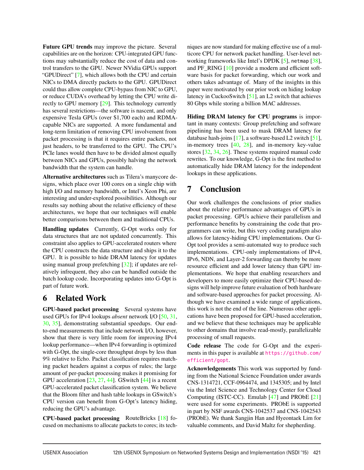Future GPU trends may improve the picture. Several capabilities are on the horizon: CPU-integrated GPU functions may substantially reduce the cost of data and control transfers to the GPU. Newer NVidia GPUs support "GPUDirect" [7], which allows both the CPU and certain NICs to DMA directly packets to the GPU. GPUDirect could thus allow complete CPU-bypass from NIC to GPU, or reduce CUDA's overhead by letting the CPU write directly to GPU memory [29]. This technology currently has several restrictions—the software is nascent, and only expensive Tesla GPUs (over \$1,700 each) and RDMAcapable NICs are supported. A more fundamental and long-term limitation of removing CPU involvement from packet processing is that it requires entire packets, not just headers, to be transferred to the GPU. The CPU's PCIe lanes would then have to be divided almost equally between NICs and GPUs, possibly halving the network bandwidth that the system can handle.

Alternative architectures such as Tilera's manycore designs, which place over 100 cores on a single chip with high I/O and memory bandwidth, or Intel's Xeon Phi, are interesting and under-explored possibilities. Although our results say nothing about the relative efficiency of these architectures, we hope that our techniques will enable better comparisons between them and traditional CPUs.

Handling updates Currently, G-Opt works only for data structures that are not updated concurrently. This constraint also applies to GPU-accelerated routers where the CPU constructs the data structure and ships it to the GPU. It is possible to hide DRAM latency for updates using manual group prefetching [32]; if updates are relatively infrequent, they also can be handled outside the batch lookup code. Incorporating updates into G-Opt is part of future work.

# 6 Related Work

GPU-based packet processing Several systems have used GPUs for IPv4 lookups *absent* network I/O [50, 31, 30, 35], demonstrating substantial speedups. Our endto-end measurements that include network I/O, however, show that there is very little room for improving IPv4 lookup performance—when IPv4 forwarding is optimized with G-Opt, the single-core throughput drops by less than 9% relative to Echo. Packet classification requires matching packet headers against a corpus of rules; the large amount of per-packet processing makes it promising for GPU acceleration  $[23, 27, 44]$ . GSwitch  $[44]$  is a recent GPU-accelerated packet classification system. We believe that the Bloom filter and hash table lookups in GSwitch's CPU version can benefit from G-Opt's latency hiding, reducing the GPU's advantage.

CPU-based packet processing RouteBricks [18] focused on mechanisms to allocate packets to cores; its techniques are now standard for making effective use of a multicore CPU for network packet handling. User-level networking frameworks like Intel's DPDK [5], netmap [38], and PF\_RING [10] provide a modern and efficient software basis for packet forwarding, which our work and others takes advantage of. Many of the insights in this paper were motivated by our prior work on hiding lookup latency in CuckooSwitch [51], an L2 switch that achieves 80 Gbps while storing a billion MAC addresses.

Hiding DRAM latency for CPU programs is important in many contexts: Group prefetching and software pipelining has been used to mask DRAM latency for database hash-joins [17], a software-based L2 switch [51], in-memory trees  $[40, 28]$ , and in-memory key-value stores [32, 34, 26]. These systems required manual code rewrites. To our knowledge, G-Opt is the first method to automatically hide DRAM latency for the independent lookups in these applications.

# 7 Conclusion

Our work challenges the conclusions of prior studies about the relative performance advantages of GPUs in packet processing. GPUs achieve their parallelism and performance benefits by constraining the code that programmers can write, but this very coding paradigm also allows for latency-hiding CPU implementations. Our G-Opt tool provides a semi-automated way to produce such implementations. CPU-only implementations of IPv4, IPv6, NDN, and Layer-2 forwarding can thereby be more resource efficient and add lower latency than GPU implementations. We hope that enabling researchers and developers to more easily optimize their CPU-based designs will help improve future evaluation of both hardware and software-based approaches for packet processing. Although we have examined a wide range of applications, this work is not the end of the line. Numerous other applications have been proposed for GPU-based acceleration, and we believe that these techniques may be applicable to other domains that involve read-mostly, parallelizable processing of small requests.

Code release The code for G-Opt and the experiments in this paper is available at https://github.com/ efficient/gopt.

Acknowledgements This work was supported by funding from the National Science Foundation under awards CNS-1314721, CCF-0964474, and 1345305; and by Intel via the Intel Science and Technology Center for Cloud Computing (ISTC-CC). Emulab [47] and PRObE [21] were used for some experiments. PRObE is supported in part by NSF awards CNS-1042537 and CNS-1042543 (PRObE). We thank Sangjin Han and Hyeontaek Lim for valuable comments, and David Maltz for shepherding.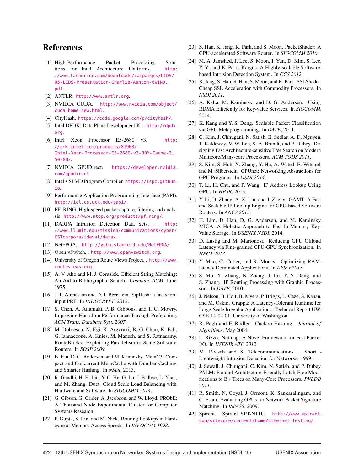# References

- [1] High-Performance Packet Processing Solutions for Intel Architecture Platforms. http: //www.lannerinc.com/downloads/campaigns/LIDS/ 05-LIDS-Presentation-Charlie-Ashton-6WIND. pdf.
- [2] ANTLR. http://www.antlr.org.
- [3] NVIDIA CUDA. http://www.nvidia.com/object/ cuda\_home\_new.html.
- [4] CityHash. https://code.google.com/p/cityhash/.
- [5] Intel DPDK: Data Plane Development Kit. http://dpdk. org.
- [6] Intel Xeon Processor E5-2680 v3. http: //ark.intel.com/products/81908/ Intel-Xeon-Processor-E5-2680-v3-30M-Cache-2\_ 50-GHz.
- [7] NVIDIA GPUDirect. https://developer.nvidia. com/gpudirect.
- [8] Intel's SPMD Program Compiler. https://ispc.github. io.
- [9] Performance Application Programming Interface (PAPI). http://icl.cs.utk.edu/papi/.
- [10] PF\_RING: High-speed packet capture, filtering and analysis. http://www.ntop.org/products/pf\_ring/.
- [11] DARPA Intrusion Detection Data Sets, . http: //www.ll.mit.edu/mission/communications/cyber/ CSTcorpora/ideval/data/.
- [12] NetFPGA, . http://yuba.stanford.edu/NetFPGA/.
- [13] Open vSwitch, . http://www.openvswitch.org.
- [14] University of Oregon Route Views Project, . http://www. routeviews.org.
- [15] A. V. Aho and M. J. Corasick. Efficient String Matching: An Aid to Bibliographic Search. *Commun. ACM*, June 1975.
- [16] J.-P. Aumasson and D. J. Bernstein. SipHash: a fast shortinput PRF. In *INDOCRYPT*, 2012.
- [17] S. Chen, A. Ailamaki, P. B. Gibbons, and T. C. Mowry. Improving Hash Join Performance Through Prefetching. *ACM Trans. Database Syst. 2007*.
- [18] M. Dobrescu, N. Egi, K. Argyraki, B.-G. Chun, K. Fall, G. Iannaccone, A. Knies, M. Manesh, and S. Ratnasamy. RouteBricks: Exploiting Parallelism to Scale Software Routers. In *SOSP 2009*.
- [19] B. Fan, D. G. Andersen, and M. Kaminsky. MemC3: Compact and Concurrent MemCache with Dumber Caching and Smarter Hashing. In *NSDI*, 2013.
- [20] R. Gandhi, H. H. Liu, Y. C. Hu, G. Lu, J. Padhye, L. Yuan, and M. Zhang. Duet: Cloud Scale Load Balancing with Hardware and Software. In *SIGCOMM 2014*.
- [21] G. Gibson, G. Grider, A. Jacobson, and W. Lloyd. PRObE: A Thousand-Node Experimental Cluster for Computer Systems Research.
- [22] P. Gupta, S. Lin, and M. Nick. Routing Lookups in Hardware at Memory Access Speeds. In *INFOCOM 1998*.
- [23] S. Han, K. Jang, K. Park, and S. Moon. PacketShader: A GPU-accelerated Software Router. In *SIGCOMM 2010*.
- [24] M. A. Jamshed, J. Lee, S. Moon, I. Yun, D. Kim, S. Lee, Y. Yi, and K. Park. Kargus: A Highly-scalable Softwarebased Intrusion Detection System. In *CCS 2012*.
- [25] K. Jang, S. Han, S. Han, S. Moon, and K. Park. SSLShader: Cheap SSL Acceleration with Commodity Processors. In *NSDI 2011*.
- [26] A. Kalia, M. Kaminsky, and D. G. Andersen. Using RDMA Efficiently for Key-value Services. In *SIGCOMM*, 2014.
- [27] K. Kang and Y. S. Deng. Scalable Packet Classification via GPU Metaprogramming. In *DATE*, 2011.
- [28] C. Kim, J. Chhugani, N. Satish, E. Sedlar, A. D. Nguyen, T. Kaldewey, V. W. Lee, S. A. Brandt, and P. Dubey. Designing Fast Architecture-sensitive Tree Search on Modern Multicore/Many-core Processors. *ACM TODS 2011*, .
- [29] S. Kim, S. Huh, X. Zhang, Y. Hu, A. Wated, E. Witchel, and M. Silberstein. GPUnet: Networking Abstractions for GPU Programs. In *OSDI 2014*, .
- [30] T. Li, H. Chu, and P. Wang. IP Address Lookup Using GPU. In *HPSR*, 2013.
- [31] Y. Li, D. Zhang, A. X. Liu, and J. Zheng. GAMT: A Fast and Scalable IP Lookup Engine for GPU-based Software Routers. In *ANCS 2013*.
- [32] H. Lim, D. Han, D. G. Andersen, and M. Kaminsky. MICA: A Holistic Approach to Fast In-Memory Key-Value Storage. In *USENIX NSDI*, 2014.
- [33] D. Lustig and M. Martonosi. Reducing GPU Offload Latency via Fine-grained CPU-GPU Synchronization. In *HPCA 2013*.
- [34] Y. Mao, C. Cutler, and R. Morris. Optimizing RAMlatency Dominated Applications. In *APSys 2013*.
- [35] S. Mu, X. Zhang, N. Zhang, J. Lu, Y. S. Deng, and S. Zhang. IP Routing Processing with Graphic Processors. In *DATE*, 2010.
- [36] J. Nelson, B. Holt, B. Myers, P. Briggs, L. Ceze, S. Kahan, and M. Oskin. Grappa: A Latency-Tolerant Runtime for Large-Scale Irregular Applications. Technical Report UW-CSE-14-02-01, University of Washington.
- [37] R. Pagh and F. Rodler. Cuckoo Hashing. *Journal of Algorithms*, May 2004.
- [38] L. Rizzo. Netmap: A Novel Framework for Fast Packet I/O. In *USENIX ATC 2012*.
- [39] M. Roesch and S. Telecommunications. Snort -Lightweight Intrusion Detection for Networks. 1999.
- [40] J. Sewall, J. Chhugani, C. Kim, N. Satish, and P. Dubey. PALM: Parallel Architecture-Friendly Latch-Free Modifications to B+ Trees on Many-Core Processors. *PVLDB 2011*.
- [41] R. Smith, N. Goyal, J. Ormont, K. Sankaralingam, and C. Estan. Evaluating GPUs for Network Packet Signature Matching. In *ISPASS*, 2009.
- [42] Spirent. Spirent SPT-N11U. http://www.spirent. com/sitecore/content/Home/Ethernet\_Testing/